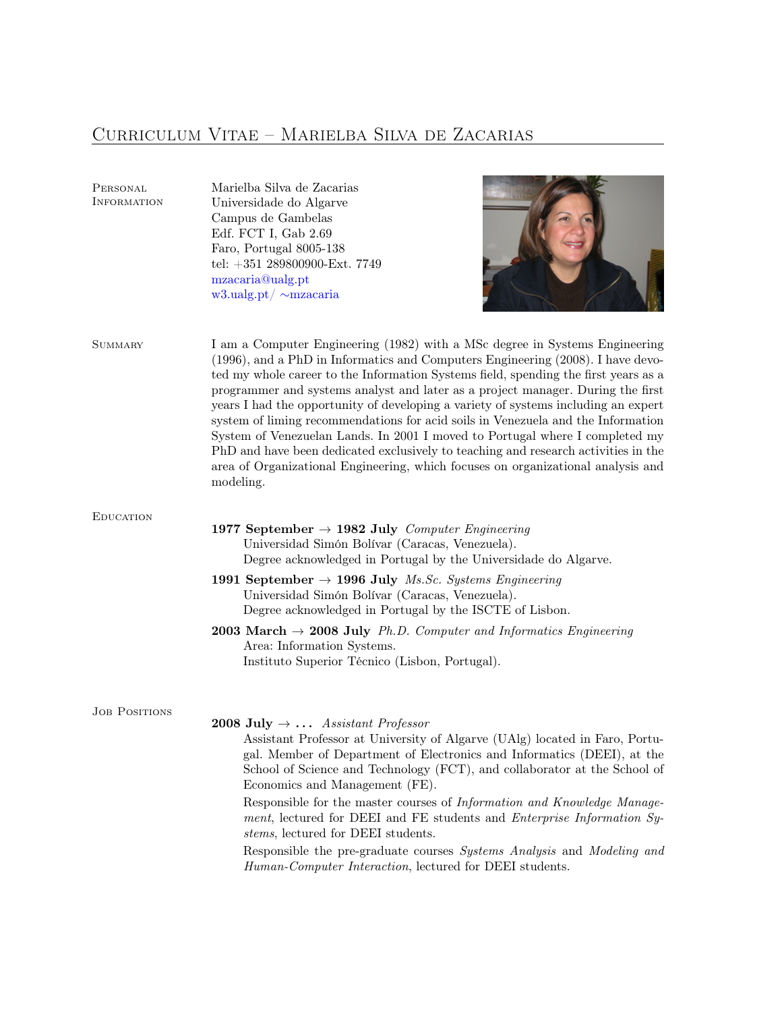# Curriculum Vitae – Marielba Silva de Zacarias

Marielba Silva de Zacarias

Personal

| INFORMATION          | Universidade do Algarve<br>Campus de Gambelas<br>Edf. FCT I, Gab 2.69<br>Faro, Portugal 8005-138<br>tel: +351 289800900-Ext. 7749<br>mzacaria@ualg.pt<br>w3.ualg.pt/ $\sim$ mzacaria                                                                                                                                                                                                                                                                                                                                                                                                                                                                                                                                                                                                      |
|----------------------|-------------------------------------------------------------------------------------------------------------------------------------------------------------------------------------------------------------------------------------------------------------------------------------------------------------------------------------------------------------------------------------------------------------------------------------------------------------------------------------------------------------------------------------------------------------------------------------------------------------------------------------------------------------------------------------------------------------------------------------------------------------------------------------------|
| <b>SUMMARY</b>       | I am a Computer Engineering (1982) with a MSc degree in Systems Engineering<br>(1996), and a PhD in Informatics and Computers Engineering (2008). I have devo-<br>ted my whole career to the Information Systems field, spending the first years as a<br>programmer and systems analyst and later as a project manager. During the first<br>years I had the opportunity of developing a variety of systems including an expert<br>system of liming recommendations for acid soils in Venezuela and the Information<br>System of Venezuelan Lands. In 2001 I moved to Portugal where I completed my<br>PhD and have been dedicated exclusively to teaching and research activities in the<br>area of Organizational Engineering, which focuses on organizational analysis and<br>modeling. |
| <b>EDUCATION</b>     | 1977 September $\rightarrow$ 1982 July Computer Engineering<br>Universidad Simón Bolívar (Caracas, Venezuela).<br>Degree acknowledged in Portugal by the Universidade do Algarve.                                                                                                                                                                                                                                                                                                                                                                                                                                                                                                                                                                                                         |
|                      | 1991 September $\rightarrow$ 1996 July <i>Ms.Sc. Systems Engineering</i><br>Universidad Simón Bolívar (Caracas, Venezuela).<br>Degree acknowledged in Portugal by the ISCTE of Lisbon.                                                                                                                                                                                                                                                                                                                                                                                                                                                                                                                                                                                                    |
|                      | <b>2003 March</b> $\rightarrow$ <b>2008 July</b> <i>Ph.D. Computer and Informatics Engineering</i><br>Area: Information Systems.<br>Instituto Superior Técnico (Lisbon, Portugal).                                                                                                                                                                                                                                                                                                                                                                                                                                                                                                                                                                                                        |
| <b>JOB POSITIONS</b> | <b>2008 July <math>\rightarrow \ldots</math></b> Assistant Professor<br>Assistant Professor at University of Algarve (UAlg) located in Faro, Portu-<br>gal. Member of Department of Electronics and Informatics (DEEI), at the<br>School of Science and Technology (FCT), and collaborator at the School of<br>Economics and Management (FE).<br>Responsible for the master courses of <i>Information and Knowledge Manage-</i><br>ment, lectured for DEEI and FE students and <i>Enterprise Information Sy-</i><br>stems, lectured for DEEI students.<br>Responsible the pre-graduate courses Systems Analysis and Modeling and<br><i>Human-Computer Interaction</i> , lectured for DEEI students.                                                                                       |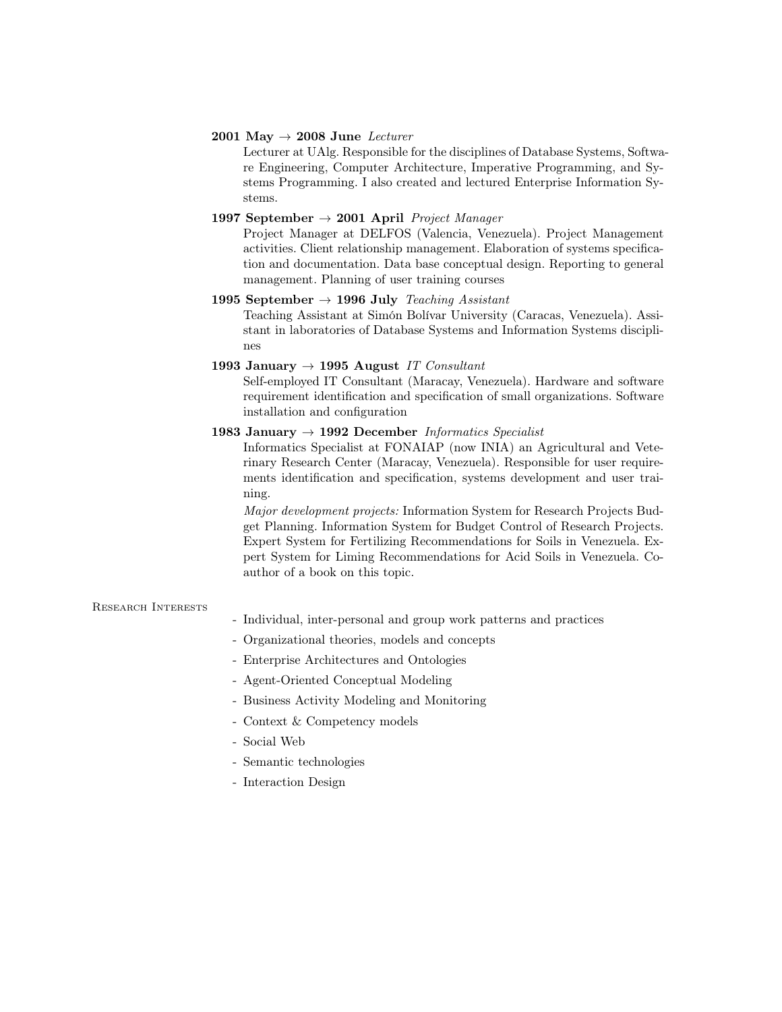#### 2001 May  $\rightarrow$  2008 June Lecturer

Lecturer at UAlg. Responsible for the disciplines of Database Systems, Software Engineering, Computer Architecture, Imperative Programming, and Systems Programming. I also created and lectured Enterprise Information Systems.

## 1997 September  $\rightarrow$  2001 April *Project Manager*

Project Manager at DELFOS (Valencia, Venezuela). Project Management activities. Client relationship management. Elaboration of systems specification and documentation. Data base conceptual design. Reporting to general management. Planning of user training courses

### 1995 September  $\rightarrow$  1996 July Teaching Assistant

Teaching Assistant at Simón Bolívar University (Caracas, Venezuela). Assistant in laboratories of Database Systems and Information Systems disciplines

# 1993 January  $\rightarrow$  1995 August IT Consultant

Self-employed IT Consultant (Maracay, Venezuela). Hardware and software requirement identification and specification of small organizations. Software installation and configuration

## 1983 January  $\rightarrow$  1992 December Informatics Specialist

Informatics Specialist at FONAIAP (now INIA) an Agricultural and Veterinary Research Center (Maracay, Venezuela). Responsible for user requirements identification and specification, systems development and user training.

Major development projects: Information System for Research Projects Budget Planning. Information System for Budget Control of Research Projects. Expert System for Fertilizing Recommendations for Soils in Venezuela. Expert System for Liming Recommendations for Acid Soils in Venezuela. Coauthor of a book on this topic.

#### Research Interests

- Individual, inter-personal and group work patterns and practices
- Organizational theories, models and concepts
- Enterprise Architectures and Ontologies
- Agent-Oriented Conceptual Modeling
- Business Activity Modeling and Monitoring
- Context & Competency models
- Social Web
- Semantic technologies
- Interaction Design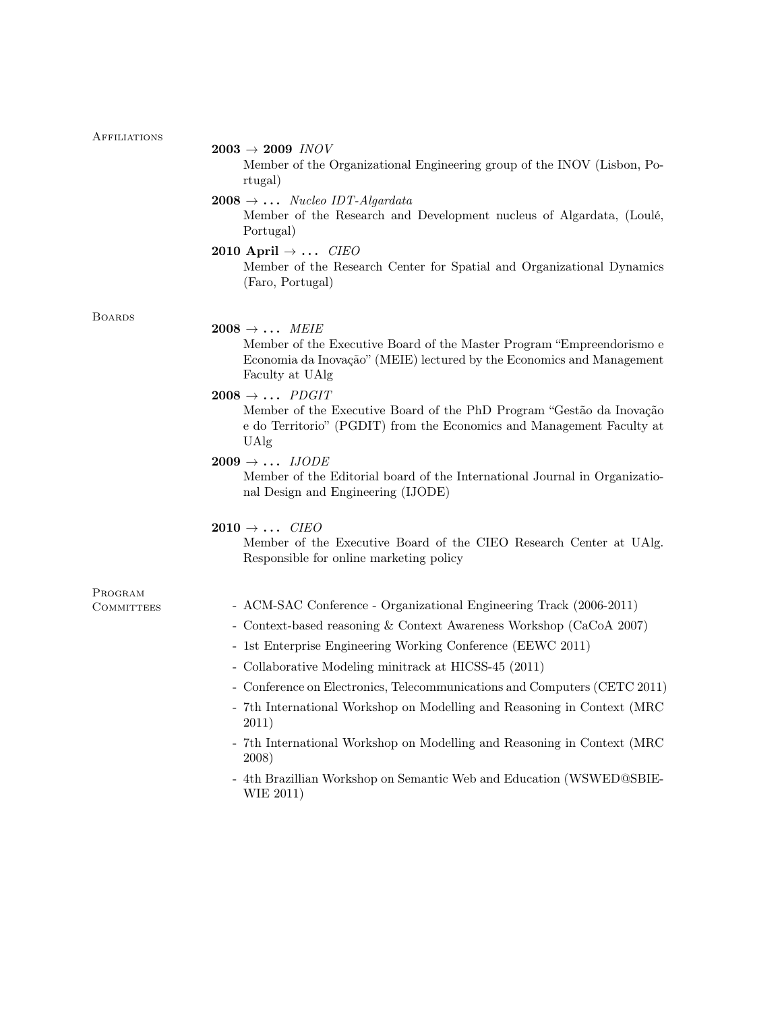| <b>AFFILIATIONS</b> | $2003 \rightarrow 2009$ INOV                                                                                                                                                                        |
|---------------------|-----------------------------------------------------------------------------------------------------------------------------------------------------------------------------------------------------|
|                     | Member of the Organizational Engineering group of the INOV (Lisbon, Po-<br>rtugal)                                                                                                                  |
|                     | $2008 \rightarrow \ldots$ Nucleo IDT-Algardata<br>Member of the Research and Development nucleus of Algardata, (Loulé,<br>Portugal)                                                                 |
|                     | 2010 April $\rightarrow$ <i>CIEO</i><br>Member of the Research Center for Spatial and Organizational Dynamics<br>(Faro, Portugal)                                                                   |
| <b>BOARDS</b>       |                                                                                                                                                                                                     |
|                     | $2008 \rightarrow \ldots$ MEIE<br>Member of the Executive Board of the Master Program "Empreendorismo e<br>Economia da Inovação" (MEIE) lectured by the Economics and Management<br>Faculty at UAlg |
|                     | $2008 \rightarrow \ldots$ PDGIT                                                                                                                                                                     |
|                     | Member of the Executive Board of the PhD Program "Gestão da Inovação<br>e do Territorio" (PGDIT) from the Economics and Management Faculty at<br>UAlg                                               |
|                     | $2009 \rightarrow \ldots$ IJODE<br>Member of the Editorial board of the International Journal in Organizatio-<br>nal Design and Engineering (IJODE)                                                 |
|                     | $2010 \rightarrow \ldots$ CIEO                                                                                                                                                                      |
|                     | Member of the Executive Board of the CIEO Research Center at UAlg.<br>Responsible for online marketing policy                                                                                       |
| PROGRAM             |                                                                                                                                                                                                     |
| <b>COMMITTEES</b>   | - ACM-SAC Conference - Organizational Engineering Track (2006-2011)<br>- Context-based reasoning & Context Awareness Workshop (CaCoA 2007)                                                          |
|                     | - 1st Enterprise Engineering Working Conference (EEWC 2011)                                                                                                                                         |
|                     | - Collaborative Modeling minitrack at HICSS-45 (2011)                                                                                                                                               |
|                     | - Conference on Electronics, Telecommunications and Computers (CETC 2011)                                                                                                                           |
|                     | - 7th International Workshop on Modelling and Reasoning in Context (MRC<br>2011)                                                                                                                    |
|                     | - 7th International Workshop on Modelling and Reasoning in Context (MRC)<br>2008)                                                                                                                   |
|                     | - 4th Brazillian Workshop on Semantic Web and Education (WSWED@SBIE-                                                                                                                                |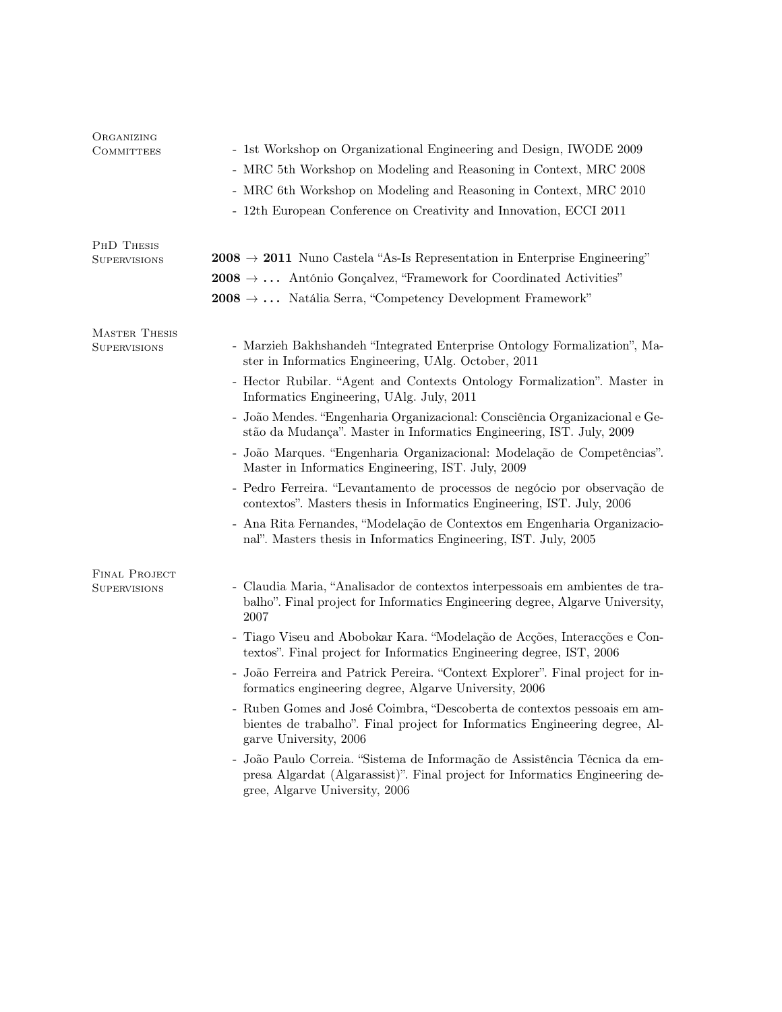| ORGANIZING<br>COMMITTEES             | - 1st Workshop on Organizational Engineering and Design, IWODE 2009<br>- MRC 5th Workshop on Modeling and Reasoning in Context, MRC 2008<br>- MRC 6th Workshop on Modeling and Reasoning in Context, MRC 2010<br>- 12th European Conference on Creativity and Innovation, ECCI 2011                                                                                                                                                                                                                                                        |
|--------------------------------------|--------------------------------------------------------------------------------------------------------------------------------------------------------------------------------------------------------------------------------------------------------------------------------------------------------------------------------------------------------------------------------------------------------------------------------------------------------------------------------------------------------------------------------------------|
| PHD THESIS<br>SUPERVISIONS           | $2008 \rightarrow 2011$ Nuno Castela "As-Is Representation in Enterprise Engineering"<br><b>2008</b> $\rightarrow$ António Gonçalvez, "Framework for Coordinated Activities"<br>$2008 \rightarrow \ldots$ Natália Serra, "Competency Development Framework"                                                                                                                                                                                                                                                                                |
| <b>MASTER THESIS</b><br>SUPERVISIONS | - Marzieh Bakhshandeh "Integrated Enterprise Ontology Formalization", Ma-<br>ster in Informatics Engineering, UAlg. October, 2011<br>- Hector Rubilar. "Agent and Contexts Ontology Formalization". Master in<br>Informatics Engineering, UAlg. July, 2011                                                                                                                                                                                                                                                                                 |
|                                      | - João Mendes. "Engenharia Organizacional: Consciência Organizacional e Ge-<br>stão da Mudança". Master in Informatics Engineering, IST. July, 2009<br>- João Marques. "Engenharia Organizacional: Modelação de Competências".<br>Master in Informatics Engineering, IST. July, 2009<br>- Pedro Ferreira. "Levantamento de processos de negócio por observação de<br>contextos". Masters thesis in Informatics Engineering, IST. July, 2006<br>- Ana Rita Fernandes, "Modelação de Contextos em Engenharia Organizacio-                    |
| FINAL PROJECT<br><b>SUPERVISIONS</b> | nal". Masters thesis in Informatics Engineering, IST. July, 2005<br>- Claudia Maria, "Analisador de contextos interpessoais em ambientes de tra-<br>balho". Final project for Informatics Engineering degree, Algarve University,<br>2007<br>- Tiago Viseu and Abobokar Kara. "Modelação de Acções, Interacções e Con-<br>textos". Final project for Informatics Engineering degree, IST, 2006<br>- João Ferreira and Patrick Pereira. "Context Explorer". Final project for in-<br>formatics engineering degree, Algarve University, 2006 |
|                                      | - Ruben Gomes and José Coimbra, "Descoberta de contextos pessoais em am-<br>bientes de trabalho". Final project for Informatics Engineering degree, Al-<br>garve University, 2006<br>- João Paulo Correia. "Sistema de Informação de Assistência Técnica da em-<br>presa Algardat (Algarassist)". Final project for Informatics Engineering de-<br>gree, Algarve University, 2006                                                                                                                                                          |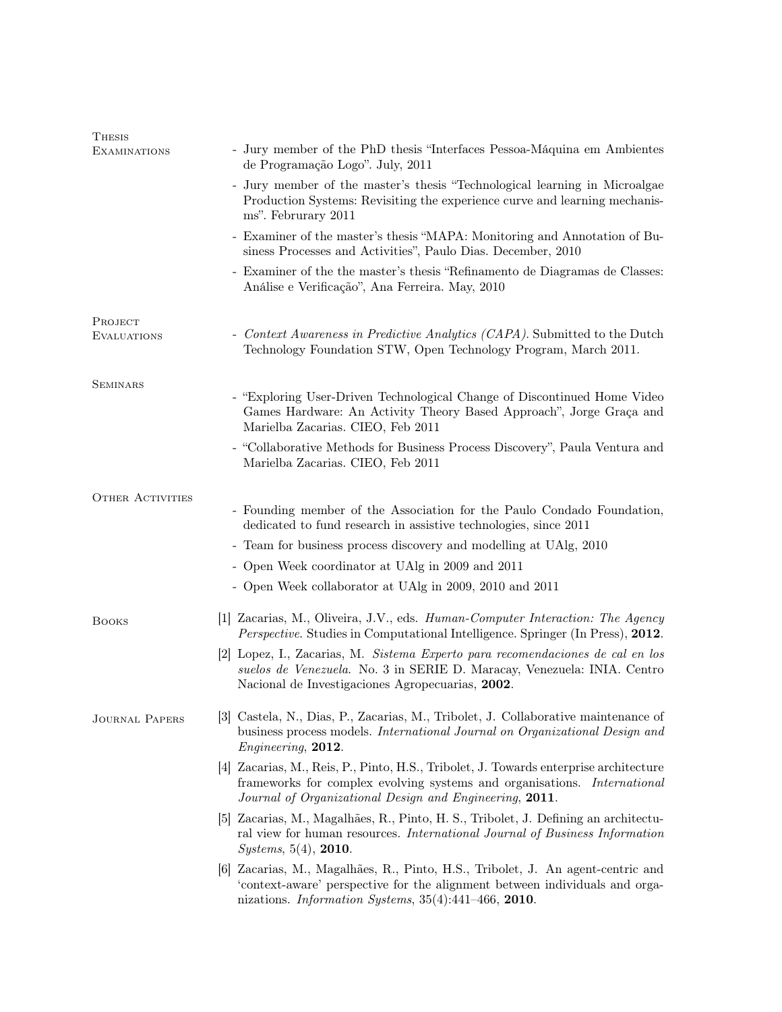| Thesis                  |                                                                                                                                                                                                                                   |
|-------------------------|-----------------------------------------------------------------------------------------------------------------------------------------------------------------------------------------------------------------------------------|
| <b>EXAMINATIONS</b>     | - Jury member of the PhD thesis "Interfaces Pessoa-Máquina em Ambientes<br>de Programação Logo". July, 2011                                                                                                                       |
|                         | - Jury member of the master's thesis "Technological learning in Microalgae<br>Production Systems: Revisiting the experience curve and learning mechanis-<br>ms". Februrary 2011                                                   |
|                         | - Examiner of the master's thesis "MAPA: Monitoring and Annotation of Bu-<br>siness Processes and Activities", Paulo Dias. December, 2010                                                                                         |
|                         | - Examiner of the the master's thesis "Refinamento de Diagramas de Classes:<br>Análise e Verificação", Ana Ferreira. May, 2010                                                                                                    |
| PROJECT                 |                                                                                                                                                                                                                                   |
| <b>EVALUATIONS</b>      | - Context Awareness in Predictive Analytics (CAPA). Submitted to the Dutch<br>Technology Foundation STW, Open Technology Program, March 2011.                                                                                     |
| <b>SEMINARS</b>         |                                                                                                                                                                                                                                   |
|                         | - "Exploring User-Driven Technological Change of Discontinued Home Video<br>Games Hardware: An Activity Theory Based Approach", Jorge Graça and<br>Marielba Zacarias. CIEO, Feb 2011                                              |
|                         | - "Collaborative Methods for Business Process Discovery", Paula Ventura and<br>Marielba Zacarias. CIEO, Feb 2011                                                                                                                  |
| <b>OTHER ACTIVITIES</b> |                                                                                                                                                                                                                                   |
|                         | - Founding member of the Association for the Paulo Condado Foundation,<br>dedicated to fund research in assistive technologies, since 2011                                                                                        |
|                         | - Team for business process discovery and modelling at UAlg, 2010                                                                                                                                                                 |
|                         | - Open Week coordinator at UAlg in 2009 and 2011                                                                                                                                                                                  |
|                         | - Open Week collaborator at UAlg in 2009, 2010 and 2011                                                                                                                                                                           |
| <b>BOOKS</b>            | [1] Zacarias, M., Oliveira, J.V., eds. <i>Human-Computer Interaction: The Agency</i><br><i>Perspective.</i> Studies in Computational Intelligence. Springer (In Press), 2012.                                                     |
|                         | [2] Lopez, I., Zacarias, M. Sistema Experto para recomendaciones de cal en los<br>suelos de Venezuela. No. 3 in SERIE D. Maracay, Venezuela: INIA. Centro<br>Nacional de Investigaciones Agropecuarias, 2002.                     |
| <b>JOURNAL PAPERS</b>   | [3] Castela, N., Dias, P., Zacarias, M., Tribolet, J. Collaborative maintenance of<br>business process models. International Journal on Organizational Design and<br><i>Engineering</i> , 2012.                                   |
|                         | [4] Zacarias, M., Reis, P., Pinto, H.S., Tribolet, J. Towards enterprise architecture<br>frameworks for complex evolving systems and organisations. International<br>Journal of Organizational Design and Engineering, 2011.      |
|                         | [5] Zacarias, M., Magalhães, R., Pinto, H. S., Tribolet, J. Defining an architectu-<br>ral view for human resources. International Journal of Business Information<br><i>Systems</i> , $5(4)$ , <b>2010</b> .                     |
|                         | [6] Zacarias, M., Magalhães, R., Pinto, H.S., Tribolet, J. An agent-centric and<br>'context-aware' perspective for the alignment between individuals and orga-<br>nizations. Information Systems, $35(4):441-466$ , <b>2010</b> . |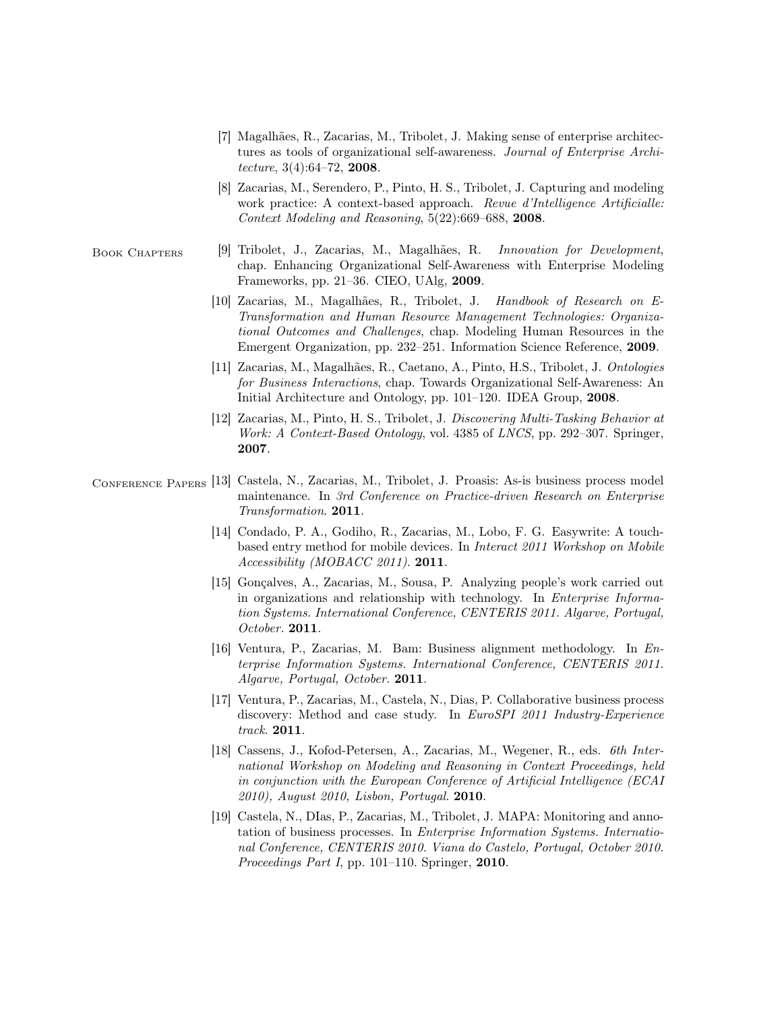- [7] Magalhães, R., Zacarias, M., Tribolet, J. Making sense of enterprise architectures as tools of organizational self-awareness. Journal of Enterprise Architecture, 3(4):64–72, 2008.
- [8] Zacarias, M., Serendero, P., Pinto, H. S., Tribolet, J. Capturing and modeling work practice: A context-based approach. Revue d'Intelligence Artificialle: Context Modeling and Reasoning, 5(22):669–688, 2008.
- BOOK CHAPTERS [9] Tribolet, J., Zacarias, M., Magalhães, R. Innovation for Development, chap. Enhancing Organizational Self-Awareness with Enterprise Modeling Frameworks, pp. 21–36. CIEO, UAlg, 2009.
	- [10] Zacarias, M., Magalhães, R., Tribolet, J. Handbook of Research on E-Transformation and Human Resource Management Technologies: Organizational Outcomes and Challenges, chap. Modeling Human Resources in the Emergent Organization, pp. 232–251. Information Science Reference, 2009.
	- [11] Zacarias, M., Magalhães, R., Caetano, A., Pinto, H.S., Tribolet, J. Ontologies for Business Interactions, chap. Towards Organizational Self-Awareness: An Initial Architecture and Ontology, pp. 101–120. IDEA Group, 2008.
	- [12] Zacarias, M., Pinto, H. S., Tribolet, J. Discovering Multi-Tasking Behavior at Work: A Context-Based Ontology, vol. 4385 of LNCS, pp. 292–307. Springer, 2007.
- Conference Papers [13] Castela, N., Zacarias, M., Tribolet, J. Proasis: As-is business process model maintenance. In 3rd Conference on Practice-driven Research on Enterprise Transformation. 2011.
	- [14] Condado, P. A., Godiho, R., Zacarias, M., Lobo, F. G. Easywrite: A touchbased entry method for mobile devices. In Interact 2011 Workshop on Mobile Accessibility (MOBACC 2011). **2011**.
	- [15] Gonçalves, A., Zacarias, M., Sousa, P. Analyzing people's work carried out in organizations and relationship with technology. In Enterprise Information Systems. International Conference, CENTERIS 2011. Algarve, Portugal, October. 2011.
	- [16] Ventura, P., Zacarias, M. Bam: Business alignment methodology. In Enterprise Information Systems. International Conference, CENTERIS 2011. Algarve, Portugal, October. 2011.
	- [17] Ventura, P., Zacarias, M., Castela, N., Dias, P. Collaborative business process discovery: Method and case study. In EuroSPI 2011 Industry-Experience track. 2011.
	- [18] Cassens, J., Kofod-Petersen, A., Zacarias, M., Wegener, R., eds. 6th International Workshop on Modeling and Reasoning in Context Proceedings, held in conjunction with the European Conference of Artificial Intelligence (ECAI 2010), August 2010, Lisbon, Portugal. 2010.
	- [19] Castela, N., DIas, P., Zacarias, M., Tribolet, J. MAPA: Monitoring and annotation of business processes. In Enterprise Information Systems. International Conference, CENTERIS 2010. Viana do Castelo, Portugal, October 2010. Proceedings Part I, pp. 101–110. Springer, 2010.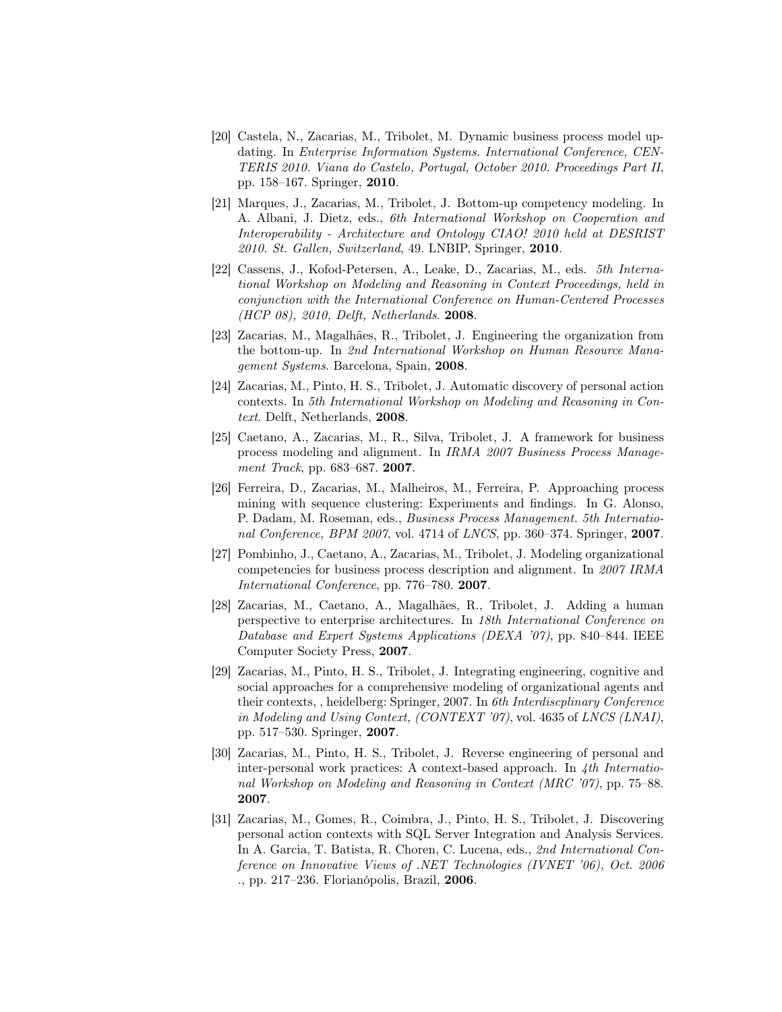- [20] Castela, N., Zacarias, M., Tribolet, M. Dynamic business process model updating. In Enterprise Information Systems. International Conference, CEN-TERIS 2010. Viana do Castelo, Portugal, October 2010. Proceedings Part II, pp. 158–167. Springer, 2010.
- [21] Marques, J., Zacarias, M., Tribolet, J. Bottom-up competency modeling. In A. Albani, J. Dietz, eds., 6th International Workshop on Cooperation and Interoperability - Architecture and Ontology CIAO! 2010 held at DESRIST 2010. St. Gallen, Switzerland, 49. LNBIP, Springer, 2010.
- [22] Cassens, J., Kofod-Petersen, A., Leake, D., Zacarias, M., eds. 5th International Workshop on Modeling and Reasoning in Context Proceedings, held in conjunction with the International Conference on Human-Centered Processes (HCP 08), 2010, Delft, Netherlands. 2008.
- [23] Zacarias, M., Magalhães, R., Tribolet, J. Engineering the organization from the bottom-up. In 2nd International Workshop on Human Resource Management Systems. Barcelona, Spain, 2008.
- [24] Zacarias, M., Pinto, H. S., Tribolet, J. Automatic discovery of personal action contexts. In 5th International Workshop on Modeling and Reasoning in Context. Delft, Netherlands, 2008.
- [25] Caetano, A., Zacarias, M., R., Silva, Tribolet, J. A framework for business process modeling and alignment. In IRMA 2007 Business Process Management Track, pp. 683–687. **2007**.
- [26] Ferreira, D., Zacarias, M., Malheiros, M., Ferreira, P. Approaching process mining with sequence clustering: Experiments and findings. In G. Alonso, P. Dadam, M. Roseman, eds., Business Process Management. 5th International Conference, BPM 2007, vol. 4714 of LNCS, pp. 360–374. Springer, 2007.
- [27] Pombinho, J., Caetano, A., Zacarias, M., Tribolet, J. Modeling organizational competencies for business process description and alignment. In 2007 IRMA International Conference, pp. 776–780. 2007.
- [28] Zacarias, M., Caetano, A., Magalhães, R., Tribolet, J. Adding a human perspective to enterprise architectures. In 18th International Conference on Database and Expert Systems Applications (DEXA '07), pp. 840–844. IEEE Computer Society Press, 2007.
- [29] Zacarias, M., Pinto, H. S., Tribolet, J. Integrating engineering, cognitive and social approaches for a comprehensive modeling of organizational agents and their contexts, , heidelberg: Springer, 2007. In 6th Interdiscplinary Conference in Modeling and Using Context, (CONTEXT '07), vol. 4635 of LNCS (LNAI), pp. 517–530. Springer, 2007.
- [30] Zacarias, M., Pinto, H. S., Tribolet, J. Reverse engineering of personal and inter-personal work practices: A context-based approach. In  $\mu$ th International Workshop on Modeling and Reasoning in Context (MRC '07), pp. 75–88. 2007.
- [31] Zacarias, M., Gomes, R., Coimbra, J., Pinto, H. S., Tribolet, J. Discovering personal action contexts with SQL Server Integration and Analysis Services. In A. Garcia, T. Batista, R. Choren, C. Lucena, eds., 2nd International Conference on Innovative Views of .NET Technologies (IVNET '06), Oct. 2006 ., pp. 217–236. Florianópolis, Brazil, 2006.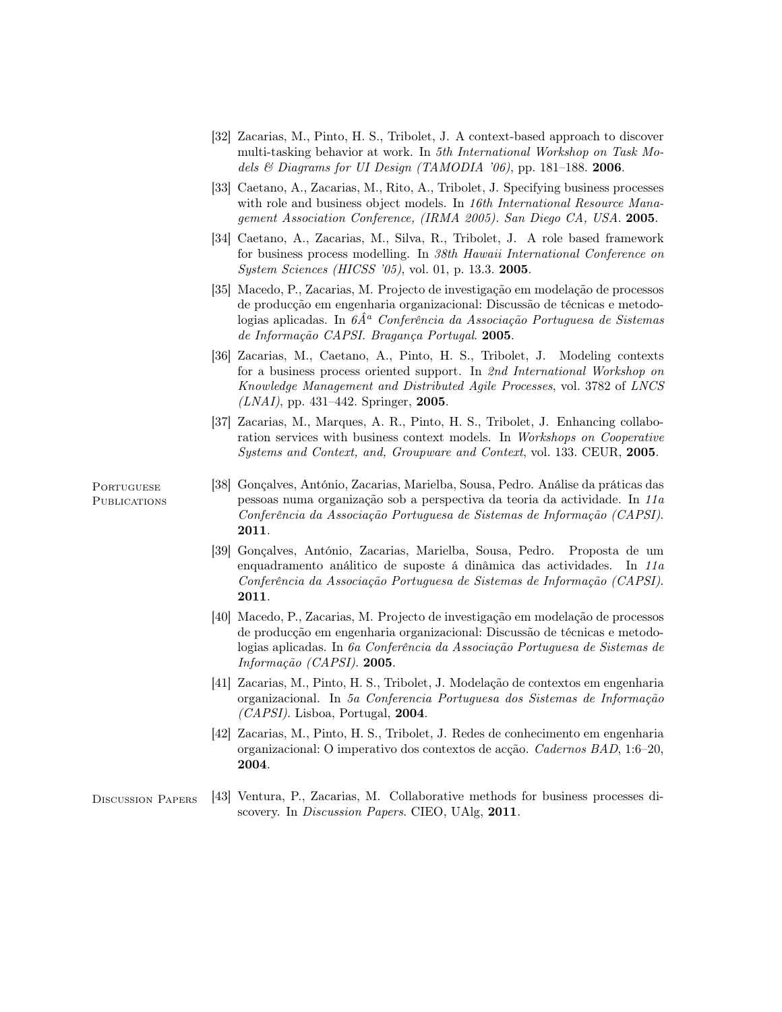- [32] Zacarias, M., Pinto, H. S., Tribolet, J. A context-based approach to discover multi-tasking behavior at work. In 5th International Workshop on Task Models  $\mathcal B$  Diagrams for UI Design (TAMODIA '06), pp. 181–188. 2006.
- [33] Caetano, A., Zacarias, M., Rito, A., Tribolet, J. Specifying business processes with role and business object models. In 16th International Resource Management Association Conference, (IRMA 2005). San Diego CA, USA. 2005.
- [34] Caetano, A., Zacarias, M., Silva, R., Tribolet, J. A role based framework for business process modelling. In 38th Hawaii International Conference on System Sciences (HICSS '05), vol. 01, p. 13.3. 2005.
- [35] Macedo, P., Zacarias, M. Projecto de investigação em modelação de processos de producção em engenharia organizacional: Discussão de técnicas e metodologias aplicadas. In  $6\hat{A}^a$  Conferência da Associação Portuguesa de Sistemas de Informação CAPSI. Bragança Portugal. 2005.
- [36] Zacarias, M., Caetano, A., Pinto, H. S., Tribolet, J. Modeling contexts for a business process oriented support. In 2nd International Workshop on Knowledge Management and Distributed Agile Processes, vol. 3782 of LNCS  $(LNAI)$ , pp. 431–442. Springer, 2005.
- [37] Zacarias, M., Marques, A. R., Pinto, H. S., Tribolet, J. Enhancing collaboration services with business context models. In Workshops on Cooperative Systems and Context, and, Groupware and Context, vol. 133. CEUR, 2005.

**PORTUGUESE** PUBLICATIONS

- [38] Gonçalves, António, Zacarias, Marielba, Sousa, Pedro. Análise da práticas das pessoas numa organização sob a perspectiva da teoria da actividade. In 11a Conferência da Associação Portuguesa de Sistemas de Informação (CAPSI). 2011.
- [39] Gonçalves, António, Zacarias, Marielba, Sousa, Pedro. Proposta de um enquadramento análitico de suposte á dinâmica das actividades. In 11a Conferência da Associação Portuguesa de Sistemas de Informação (CAPSI). 2011.
- [40] Macedo, P., Zacarias, M. Projecto de investigação em modelação de processos de producção em engenharia organizacional: Discussão de técnicas e metodologias aplicadas. In 6a Conferência da Associação Portuguesa de Sistemas de Informação (CAPSI). 2005.
- [41] Zacarias, M., Pinto, H. S., Tribolet, J. Modelação de contextos em engenharia organizacional. In 5a Conferencia Portuguesa dos Sistemas de Informação  $(CAPSI)$ . Lisboa, Portugal, 2004.
- [42] Zacarias, M., Pinto, H. S., Tribolet, J. Redes de conhecimento em engenharia organizacional: O imperativo dos contextos de acção. Cadernos BAD, 1:6–20, 2004.
- Discussion Papers [43] Ventura, P., Zacarias, M. Collaborative methods for business processes discovery. In *Discussion Papers*. CIEO, UAlg, 2011.